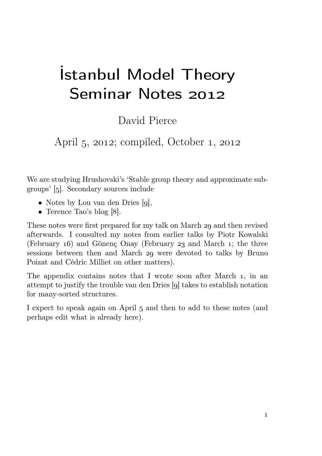# İstanbul Model Theory Seminar Notes 2012

David Pierce

April 5, 2012; compiled, October 1, 2012

We are studying Hrushovski's 'Stable group theory and approximate subgroups' []. Secondary sources include

- Notes by Lou van den Dries  $[q]$ ,
- Terence Tao's blog  $[8]$ .

These notes were first prepared for my talk on March 29 and then revised afterwards. I consulted my notes from earlier talks by Piotr Kowalski (February 16) and Gönenç Onay (February 23 and March 1; the three sessions between then and March 29 were devoted to talks by Bruno Poizat and Cédric Milliet on other matters).

The appendix contains notes that I wrote soon after March 1, in an attempt to justify the trouble van den Dries [9] takes to establish notation for many-sorted structures.

I expect to speak again on April 5 and then to add to these notes (and perhaps edit what is already here).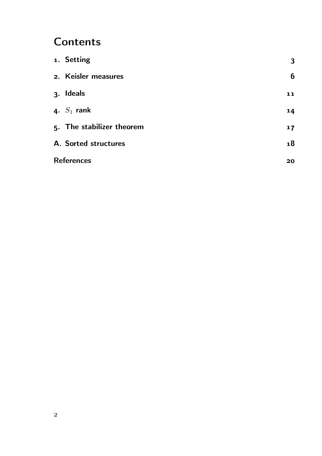# **Contents**

| 1. Setting                | 3  |
|---------------------------|----|
| 2. Keisler measures       | 6  |
| 3. Ideals                 | 11 |
| 4. $S_1$ rank             | 14 |
| 5. The stabilizer theorem | 17 |
| A. Sorted structures      | 18 |
| <b>References</b>         | 20 |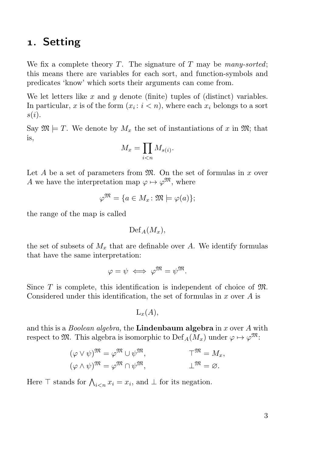## . Setting

We fix a complete theory T. The signature of T may be many-sorted; this means there are variables for each sort, and function-symbols and predicates 'know' which sorts their arguments can come from.

We let letters like  $x$  and  $y$  denote (finite) tuples of (distinct) variables. In particular, x is of the form  $(x_i: i < n)$ , where each  $x_i$  belongs to a sort  $s(i)$ .

Say  $\mathfrak{M} \models T$ . We denote by  $M_x$  the set of instantiations of x in  $\mathfrak{M}$ ; that is,

$$
M_x = \prod_{i < n} M_{s(i)}.
$$

Let  $A$  be a set of parameters from  $\mathfrak{M}$ . On the set of formulas in  $x$  over A we have the interpretation map  $\varphi \mapsto \varphi^{\mathfrak{M}}$ , where

$$
\varphi^{\mathfrak{M}} = \{ a \in M_x \colon \mathfrak{M} \models \varphi(a) \};
$$

the range of the map is called

 $Def<sub>A</sub>(M<sub>x</sub>)$ ,

the set of subsets of  $M_x$  that are definable over A. We identify formulas that have the same interpretation:

$$
\varphi = \psi \iff \varphi^{\mathfrak{M}} = \psi^{\mathfrak{M}}.
$$

Since  $T$  is complete, this identification is independent of choice of  $\mathfrak{M}$ . Considered under this identification, the set of formulas in  $x$  over  $A$  is

$$
\mathrm{L}_x(A),
$$

and this is a *Boolean algebra*, the **Lindenbaum algebra** in x over A with respect to  $\mathfrak{M}$ . This algebra is isomorphic to  $\mathrm{Def}_{A}(M_x)$  under  $\varphi \mapsto \varphi^{\mathfrak{M}}$ :

$$
(\varphi \vee \psi)^{\mathfrak{M}} = \varphi^{\mathfrak{M}} \cup \psi^{\mathfrak{M}}, \qquad \qquad \mathsf{T}^{\mathfrak{M}} = M_x,
$$
  

$$
(\varphi \wedge \psi)^{\mathfrak{M}} = \varphi^{\mathfrak{M}} \cap \psi^{\mathfrak{M}}, \qquad \qquad \mathsf{L}^{\mathfrak{M}} = \varnothing.
$$

Here  $\top$  stands for  $\bigwedge_{i \leq n} x_i = x_i$ , and  $\bot$  for its negation.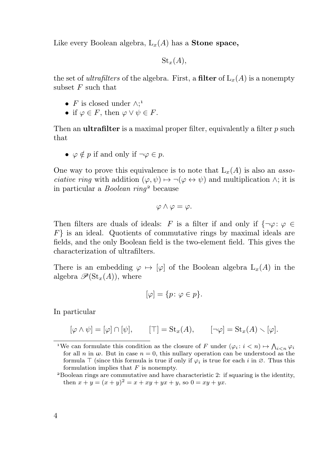Like every Boolean algebra,  $L_x(A)$  has a **Stone space**,

 $\operatorname{St}_x(A)$ ,

the set of *ultrafilters* of the algebra. First, a **filter** of  $L<sub>x</sub>(A)$  is a nonempty subset  $F$  such that

- F is closed under  $\wedge; ^1$
- if  $\varphi \in F$ , then  $\varphi \vee \psi \in F$ .

Then an **ultrafilter** is a maximal proper filter, equivalently a filter  $p$  such that

•  $\varphi \notin p$  if and only if  $\neg \varphi \in p$ .

One way to prove this equivalence is to note that  $L_x(A)$  is also an *associative ring* with addition  $(\varphi, \psi) \mapsto \neg(\varphi \leftrightarrow \psi)$  and multiplication  $\wedge$ ; it is in particular a *Boolean ring*<sup>2</sup> because

$$
\varphi \wedge \varphi = \varphi.
$$

Then filters are duals of ideals: F is a filter if and only if  $\{\neg \varphi : \varphi \in$  $F\}$  is an ideal. Quotients of commutative rings by maximal ideals are fields, and the only Boolean field is the two-element field. This gives the characterization of ultrafilters.

There is an embedding  $\varphi \mapsto [\varphi]$  of the Boolean algebra  $L_x(A)$  in the algebra  $\mathscr{P}(\mathrm{St}_x(A))$ , where

$$
[\varphi]=\{p\colon\varphi\in p\}.
$$

In particular

 $[\varphi \wedge \psi] = [\varphi] \cap [\psi], \qquad [\top] = \text{St}_x(A), \qquad [\neg \varphi] = \text{St}_x(A) \setminus [\varphi].$ 

<sup>&</sup>lt;sup>1</sup>We can formulate this condition as the closure of F under  $(\varphi_i : i < n) \mapsto \bigwedge_{i \leq n} \varphi_i$ for all n in  $\omega$ . But in case  $n = 0$ , this nullary operation can be understood as the formula ⊤ (since this formula is true if only if  $\varphi_i$  is true for each i in  $\varnothing$ . Thus this formulation implies that  $F$  is nonempty.

Boolean rings are commutative and have characteristic 2: if squaring is the identity, then  $x + y = (x + y)^2 = x + xy + yx + y$ , so  $0 = xy + yx$ .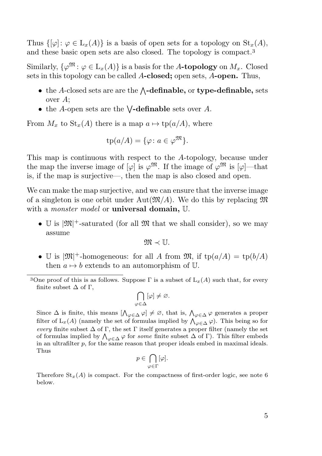Thus  $\{[\varphi]: \varphi \in L_x(A)\}\$ is a basis of open sets for a topology on  $St_x(A)$ , and these basic open sets are also closed. The topology is compact.<sup>3</sup>

Similarly,  $\{\varphi^{\mathfrak{M}} : \varphi \in L_x(A)\}\$ is a basis for the A-topology on  $M_x$ . Closed sets in this topology can be called A-closed; open sets, A-open. Thus,

- $\bullet$  the A-closed sets are are the  $\wedge$ -definable, or type-definable, sets over A;
- the A-open sets are the  $\bigvee$ -definable sets over A.

From  $M_x$  to  $\text{St}_x(A)$  there is a map  $a \mapsto \text{tp}(a/A)$ , where

$$
tp(a/A) = \{ \varphi \colon a \in \varphi^{\mathfrak{M}} \}.
$$

This map is continuous with respect to the A-topology, because under the map the inverse image of  $[\varphi]$  is  $\varphi^{\mathfrak{M}}$ . If the image of  $\varphi^{\mathfrak{M}}$  is  $[\varphi]$ —that is, if the map is surjective—, then the map is also closed and open.

We can make the map surjective, and we can ensure that the inverse image of a singleton is one orbit under Aut $(\mathfrak{M}/A)$ . We do this by replacing  $\mathfrak{M}$ with a *monster model* or **universal domain**, U.

• U is  $|\mathfrak{M}|^+$ -saturated (for all  $\mathfrak{M}$  that we shall consider), so we may assume

$$
\mathfrak{M}\prec \mathbb{U}.
$$

• U is  $|\mathfrak{M}|^+$ -homogeneous: for all A from  $\mathfrak{M}$ , if  $tp(a/A) = tp(b/A)$ then  $a \mapsto b$  extends to an automorphism of U.

$$
\bigcap_{\varphi\in\Delta} [\varphi]\neq\varnothing.
$$

Since  $\Delta$  is finite, this means  $[\Lambda_{\varphi \in \Delta} \varphi] \neq \varnothing$ , that is,  $\Lambda_{\varphi \in \Delta} \varphi$  generates a proper filter of L<sub>x</sub>(A) (namely the set of formulas implied by  $\bigwedge_{\varphi \in \Delta} \varphi$ ). This being so for every finite subset  $\Delta$  of  $\Gamma$ , the set  $\Gamma$  itself generates a proper filter (namely the set of formulas implied by  $\bigwedge_{\varphi \in \Delta} \varphi$  for *some* finite subset  $\Delta$  of  $\Gamma$ ). This filter embeds in an ultrafilter  $p$ , for the same reason that proper ideals embed in maximal ideals. Thus

$$
p\in \bigcap_{\varphi\in \Gamma} [\varphi].
$$

Therefore  $St_x(A)$  is compact. For the compactness of first-order logic, see note 6 below.

<sup>&</sup>lt;sup>3</sup>One proof of this is as follows. Suppose  $\Gamma$  is a subset of  $L_x(A)$  such that, for every finite subset  $\Delta$  of  $\Gamma$ ,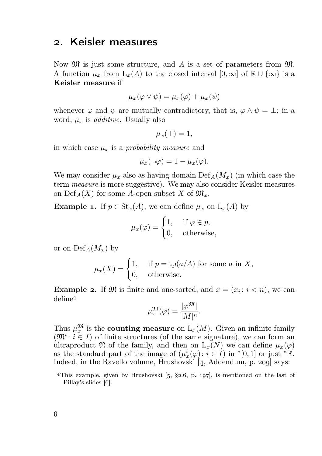## . Keisler measures

Now  $\mathfrak{M}$  is just some structure, and A is a set of parameters from  $\mathfrak{M}$ . A function  $\mu_x$  from  $L_x(A)$  to the closed interval  $[0,\infty]$  of  $\mathbb{R}\cup\{\infty\}$  is a Keisler measure if

$$
\mu_x(\varphi \vee \psi) = \mu_x(\varphi) + \mu_x(\psi)
$$

whenever  $\varphi$  and  $\psi$  are mutually contradictory, that is,  $\varphi \wedge \psi = \bot$ ; in a word,  $\mu_x$  is *additive*. Usually also

$$
\mu_x(\top) = 1,
$$

in which case  $\mu_x$  is a probability measure and

$$
\mu_x(\neg\varphi) = 1 - \mu_x(\varphi).
$$

We may consider  $\mu_x$  also as having domain Def<sub>A</sub>( $M_x$ ) (in which case the term measure is more suggestive). We may also consider Keisler measures on Def<sub>A</sub>(X) for some A-open subset X of  $\mathfrak{M}_r$ .

**Example 1.** If  $p \in \text{St}_x(A)$ , we can define  $\mu_x$  on  $L_x(A)$  by

$$
\mu_x(\varphi) = \begin{cases} 1, & \text{if } \varphi \in p, \\ 0, & \text{otherwise,} \end{cases}
$$

or on  $\mathrm{Def}_{A}(M_x)$  by

$$
\mu_x(X) = \begin{cases} 1, & \text{if } p = \text{tp}(a/A) \text{ for some } a \text{ in } X, \\ 0, & \text{otherwise.} \end{cases}
$$

**Example 2.** If  $\mathfrak{M}$  is finite and one-sorted, and  $x = (x_i : i < n)$ , we can define

$$
\mu_x^{\mathfrak{M}}(\varphi) = \frac{|\varphi^{\mathfrak{M}}|}{|M|^n}.
$$

Thus  $\mu_x^{\mathfrak{M}}$  is the **counting measure** on  $L_x(M)$ . Given an infinite family  $(\mathfrak{M}^i : i \in I)$  of finite structures (of the same signature), we can form an ultraproduct  $\mathfrak N$  of the family, and then on  $L_x(N)$  we can define  $\mu_x(\varphi)$ as the standard part of the image of  $(\mu_x^i(\varphi): i \in I)$  in \*[0, 1] or just \* $\mathbb{R}$ . Indeed, in the Ravello volume, Hrushovski  $[4,$  Addendum, p. 209 says:

<sup>&</sup>lt;sup>4</sup>This example, given by Hrushovski  $\left[5, \frac{52.6}{10}, p. 197\right]$ , is mentioned on the last of Pillay's slides [6].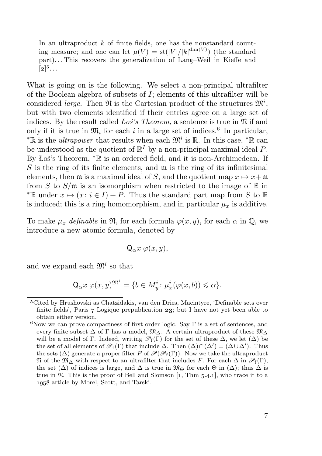In an ultraproduct  $k$  of finite fields, one has the nonstandard counting measure; and one can let  $\mu(V) = \text{st}(|V|/|k|^{\dim(V)})$  (the standard part). . . This recovers the generalization of Lang–Weil in Kieffe and  $[2]^{5}$ ...

What is going on is the following. We select a non-principal ultrafilter of the Boolean algebra of subsets of I; elements of this ultrafilter will be considered *large*. Then  $\mathfrak{N}$  is the Cartesian product of the structures  $\mathfrak{M}^i$ , but with two elements identified if their entries agree on a large set of indices. By the result called  $\textit{LoS's Theorem}$ , a sentence is true in  $\mathfrak{N}$  if and only if it is true in  $\mathfrak{M}_i$  for each i in a large set of indices.<sup>6</sup> In particular, \* $\mathbb R$  is the *ultrapower* that results when each  $\mathfrak{M}^i$  is  $\mathbb R$ . In this case, \* $\mathbb R$  can be understood as the quotient of  $\mathbb{R}^I$  by a non-principal maximal ideal P. By Łoś's Theorem, <sup>∗</sup>R is an ordered field, and it is non-Archimedean. If  $S$  is the ring of its finite elements, and  $\mathfrak{m}$  is the ring of its infinitesimal elements, then  $\mathfrak{m}$  is a maximal ideal of S, and the quotient map  $x \mapsto x+\mathfrak{m}$ from S to  $S/\mathfrak{m}$  is an isomorphism when restricted to the image of R in \*R under  $x \mapsto (x : i \in I) + P$ . Thus the standard part map from S to R is induced; this is a ring homomorphism, and in particular  $\mu_x$  is additive.

To make  $\mu_x$  definable in  $\mathfrak{N}$ , for each formula  $\varphi(x, y)$ , for each  $\alpha$  in  $\mathbb{Q}$ , we introduce a new atomic formula, denoted by

$$
Q_{\alpha}x \varphi(x,y),
$$

and we expand each  $\mathfrak{M}^i$  so that

$$
Q_{\alpha}x \varphi(x, y)^{\mathfrak{M}^i} = \{b \in M_y^i \colon \mu_x^i(\varphi(x, b)) \leq \alpha\}.
$$

Cited by Hrushovski as Chatzidakis, van den Dries, Macintyre, 'Definable sets over finite fields', Paris  $7$  Logique prepublication  $23$ ; but I have not yet been able to obtain either version.

<sup>&</sup>lt;sup>6</sup>Now we can prove compactness of first-order logic. Say  $\Gamma$  is a set of sentences, and every finite subset  $\Delta$  of  $\Gamma$  has a model,  $\mathfrak{M}_{\Delta}$ . A certain ultraproduct of these  $\mathfrak{M}_{\Delta}$ will be a model of Γ. Indeed, writing  $\mathscr{P}_f(\Gamma)$  for the set of these  $\Delta$ , we let  $(\Delta)$  be the set of all elements of  $\mathscr{P}_f(\Gamma)$  that include  $\Delta$ . Then  $(\Delta) \cap (\Delta') = (\Delta \cup \Delta')$ . Thus the sets ( $\Delta$ ) generate a proper filter F of  $\mathcal{P}(\mathcal{P}_f(\Gamma))$ . Now we take the ultraproduct  $\mathfrak{N}$  of the  $\mathfrak{M}_{\Delta}$  with respect to an ultrafilter that includes F. For each  $\Delta$  in  $\mathscr{P}_f(\Gamma)$ , the set  $(\Delta)$  of indices is large, and  $\Delta$  is true in  $\mathfrak{M}_{\Theta}$  for each  $\Theta$  in  $(\Delta)$ ; thus  $\Delta$  is true in  $\mathfrak{N}$ . This is the proof of Bell and Slomson [1, Thm 5.4.1], who trace it to a 1958 article by Morel, Scott, and Tarski.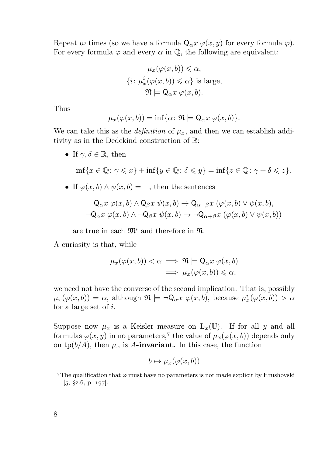Repeat  $\omega$  times (so we have a formula  $Q_{\alpha} x \varphi(x, y)$  for every formula  $\varphi$ ). For every formula  $\varphi$  and every  $\alpha$  in  $\mathbb{Q}$ , the following are equivalent:

$$
\mu_x(\varphi(x, b)) \leq \alpha,
$$
  
\n
$$
\{i : \mu_x^i(\varphi(x, b)) \leq \alpha\} \text{ is large,}
$$
  
\n
$$
\mathfrak{N} \models \mathbf{Q}_{\alpha} x \varphi(x, b).
$$

Thus

$$
\mu_x(\varphi(x,b)) = \inf \{ \alpha \colon \mathfrak{N} \models \mathsf{Q}_{\alpha} x \; \varphi(x,b) \}.
$$

We can take this as the *definition* of  $\mu_x$ , and then we can establish additivity as in the Dedekind construction of R:

• If  $\gamma, \delta \in \mathbb{R}$ , then

$$
\inf\{x\in\mathbb{Q}\colon\gamma\leqslant x\}+\inf\{y\in\mathbb{Q}\colon\delta\leqslant y\}=\inf\{z\in\mathbb{Q}\colon\gamma+\delta\leqslant z\}.
$$

• If  $\varphi(x, b) \wedge \psi(x, b) = \perp$ , then the sentences

$$
Q_{\alpha}x \varphi(x, b) \wedge Q_{\beta}x \psi(x, b) \rightarrow Q_{\alpha+\beta}x (\varphi(x, b) \vee \psi(x, b),
$$
  

$$
\neg Q_{\alpha}x \varphi(x, b) \wedge \neg Q_{\beta}x \psi(x, b) \rightarrow \neg Q_{\alpha+\beta}x (\varphi(x, b) \vee \psi(x, b))
$$

are true in each  $\mathfrak{M}^i$  and therefore in  $\mathfrak{N}$ .

A curiosity is that, while

$$
\mu_x(\varphi(x,b)) < \alpha \implies \mathfrak{N} \models \mathsf{Q}_{\alpha} x \ \varphi(x,b) \\
\implies \mu_x(\varphi(x,b)) \leq \alpha,
$$

we need not have the converse of the second implication. That is, possibly  $\mu_x(\varphi(x, b)) = \alpha$ , although  $\mathfrak{N} \models \neg \mathsf{Q}_{\alpha} x \; \varphi(x, b)$ , because  $\mu_x^i(\varphi(x, b)) > \alpha$ for a large set of i.

Suppose now  $\mu_x$  is a Keisler measure on  $L_x(\mathbb{U})$ . If for all y and all formulas  $\varphi(x, y)$  in no parameters,<sup>7</sup> the value of  $\mu_x(\varphi(x, b))$  depends only on tp( $b/A$ ), then  $\mu_x$  is A-invariant. In this case, the function

$$
b \mapsto \mu_x(\varphi(x, b))
$$

The qualification that  $\varphi$  must have no parameters is not made explicit by Hrushovski  $[5, §2.6, p. 197].$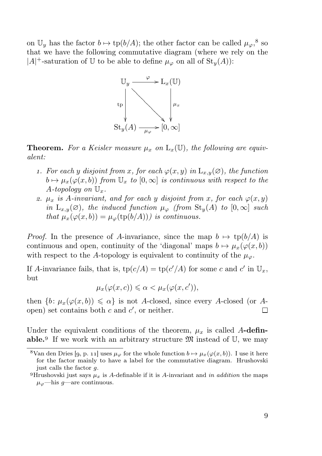on  $\mathbb{U}_y$  has the factor  $b \mapsto \text{tp}(b/A)$ ; the other factor can be called  $\mu_\varphi$ ,<sup>8</sup> so that we have the following commutative diagram (where we rely on the  $|A|$ <sup>+</sup>-saturation of U to be able to define  $\mu_{\varphi}$  on all of  $St_{y}(A)$ :



**Theorem.** For a Keisler measure  $\mu_x$  on  $L_x(\mathbb{U})$ , the following are equivalent:

- 1. For each y disjoint from x, for each  $\varphi(x, y)$  in  $L_{x,y}(\varnothing)$ , the function  $b \mapsto \mu_x(\varphi(x, b))$  from  $\mathbb{U}_x$  to  $[0, \infty]$  is continuous with respect to the A-topology on  $\mathbb{U}_x$ .
- 2.  $\mu_x$  is A-invariant, and for each y disjoint from x, for each  $\varphi(x, y)$ in  $L_{x,y}(\emptyset)$ , the induced function  $\mu_{\varphi}$  (from  $St_{y}(A)$  to  $[0,\infty]$  such that  $\mu_x(\varphi(x, b)) = \mu_\varphi(\text{tp}(b/A)))$  is continuous.

*Proof.* In the presence of A-invariance, since the map  $b \mapsto \text{tp}(b/A)$  is continuous and open, continuity of the 'diagonal' maps  $b \mapsto \mu_x(\varphi(x, b))$ with respect to the A-topology is equivalent to continuity of the  $\mu_{\varphi}$ .

If A-invariance fails, that is,  $tp(c/A) = tp(c'/A)$  for some c and c' in  $\mathbb{U}_x$ , but

$$
\mu_x(\varphi(x,c)) \leq \alpha < \mu_x(\varphi(x,c'))
$$

then  $\{b : \mu_x(\varphi(x, b)) \leq \alpha\}$  is not A-closed, since every A-closed (or Aopen) set contains both  $c$  and  $c'$ , or neither.  $\Box$ 

Under the equivalent conditions of the theorem,  $\mu_x$  is called A-definable.<sup>9</sup> If we work with an arbitrary structure  $\mathfrak M$  instead of U, we may

<sup>&</sup>lt;sup>8</sup>Van den Dries  $[g, p, 1]$  uses  $\mu_{\varphi}$  for the whole function  $b \mapsto \mu_x(\varphi(x, b))$ . I use it here for the factor mainly to have a label for the commutative diagram. Hrushovski just calls the factor g.

<sup>&</sup>lt;sup>9</sup>Hrushovski just says  $\mu_x$  is A-definable if it is A-invariant and in addition the maps  $\mu_{\varphi}$ —his q—are continuous.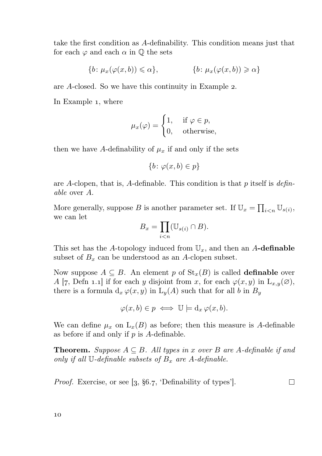take the first condition as A-definability. This condition means just that for each  $\varphi$  and each  $\alpha$  in  $\mathbb O$  the sets

$$
\{b \colon \mu_x(\varphi(x,b)) \leq \alpha\}, \qquad \{b \colon \mu_x(\varphi(x,b)) \geq \alpha\}
$$

are A-closed. So we have this continuity in Example 2.

In Example 1, where

$$
\mu_x(\varphi) = \begin{cases} 1, & \text{if } \varphi \in p, \\ 0, & \text{otherwise,} \end{cases}
$$

then we have A-definability of  $\mu_x$  if and only if the sets

$$
\{b \colon \varphi(x, b) \in p\}
$$

are A-clopen, that is, A-definable. This condition is that  $p$  itself is *defin*able over A.

More generally, suppose B is another parameter set. If  $\mathbb{U}_x = \prod_{i \lt n} \mathbb{U}_{s(i)}$ , we can let

$$
B_x = \prod_{i < n} (\mathbb{U}_{s(i)} \cap B).
$$

This set has the A-topology induced from  $\mathbb{U}_x$ , and then an A-definable subset of  $B_x$  can be understood as an A-clopen subset.

Now suppose  $A \subseteq B$ . An element p of  $\text{St}_x(B)$  is called **definable** over A [7, Defn 1.1] if for each y disjoint from x, for each  $\varphi(x, y)$  in  $L_{x,y}(\varnothing)$ , there is a formula  $d_x \varphi(x, y)$  in  $L_y(A)$  such that for all b in  $B_y$ 

$$
\varphi(x,b) \in p \iff \mathbb{U} \models d_x \varphi(x,b).
$$

We can define  $\mu_x$  on  $L_x(B)$  as before; then this measure is A-definable as before if and only if  $p$  is  $A$ -definable.

**Theorem.** Suppose  $A \subseteq B$ . All types in x over B are A-definable if and only if all  $\mathbb U$ -definable subsets of  $B_x$  are A-definable.

*Proof.* Exercise, or see  $\left[3, \frac{6}{3}, 7, \frac{6}{10}\right]$ .  $\Box$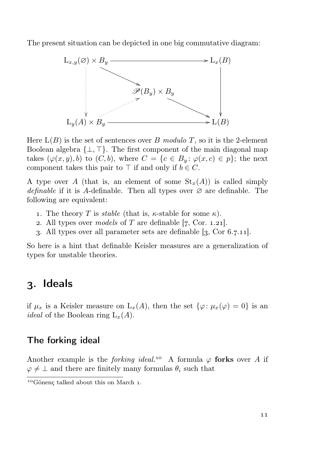The present situation can be depicted in one big commutative diagram:



Here  $L(B)$  is the set of sentences over B modulo T, so it is the 2-element Boolean algebra {⊥, ⊤}. The first component of the main diagonal map takes  $(\varphi(x, y), b)$  to  $(C, b)$ , where  $C = \{c \in B_y : \varphi(x, c) \in p\}$ ; the next component takes this pair to  $\top$  if and only if  $b \in C$ .

A type over A (that is, an element of some  $St_x(A)$ ) is called simply definable if it is A-definable. Then all types over  $\varnothing$  are definable. The following are equivalent:

- 1. The theory T is *stable* (that is,  $\kappa$ -stable for some  $\kappa$ ).
- 2. All types over models of T are definable [7, Cor. 1.21].
- 3. All types over all parameter sets are definable  $[3, \text{Cor } 6.7.11].$

So here is a hint that definable Keisler measures are a generalization of types for unstable theories.

# . Ideals

if  $\mu_x$  is a Keisler measure on  $L_x(A)$ , then the set  $\{\varphi: \mu_x(\varphi) = 0\}$  is an *ideal* of the Boolean ring  $L_x(A)$ .

### The forking ideal

Another example is the *forking ideal*.<sup>10</sup> A formula  $\varphi$  forks over A if  $\varphi \neq \perp$  and there are finitely many formulas  $\theta_i$  such that

 $\overline{\phantom{a}}^{10}$ Gönenc talked about this on March 1.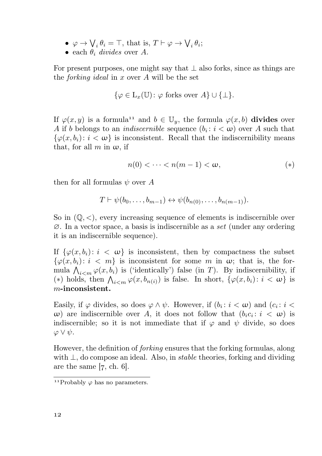- $\varphi \to \bigvee_i \theta_i = \top$ , that is,  $T \vdash \varphi \to \bigvee_i \theta_i$ ;
- each  $\theta_i$  divides over A.

For present purposes, one might say that  $\perp$  also forks, since as things are the *forking ideal* in x over A will be the set

$$
\{\varphi \in L_x(\mathbb{U}) \colon \varphi \text{ forks over } A\} \cup \{\perp\}.
$$

If  $\varphi(x, y)$  is a formula<sup>11</sup> and  $b \in \mathbb{U}_y$ , the formula  $\varphi(x, b)$  divides over A if b belongs to an *indiscernible* sequence  $(b_i : i < \omega)$  over A such that  $\{\varphi(x, b_i): i < \omega\}$  is inconsistent. Recall that the indiscernibility means that, for all m in  $\omega$ , if

$$
n(0) < \cdots < n(m-1) < \omega,
$$
 (\*)

then for all formulas  $\psi$  over A

$$
T \vdash \psi(b_0, \ldots, b_{m-1}) \leftrightarrow \psi(b_{n(0)}, \ldots, b_{n(m-1)}).
$$

So in  $(\mathbb{Q}, \langle \rangle)$ , every increasing sequence of elements is indiscernible over  $\varnothing$ . In a vector space, a basis is indiscernible as a set (under any ordering it is an indiscernible sequence).

If  $\{\varphi(x, b_i): i < \omega\}$  is inconsistent, then by compactness the subset  $\{\varphi(x, b_i): i < m\}$  is inconsistent for some m in  $\omega$ ; that is, the formula  $\bigwedge_{i \leq m} \varphi(x, b_i)$  is ('identically') false (in T). By indiscernibility, if (\*) holds, then  $\bigwedge_{i \leq m} \varphi(x, b_{n(i)})$  is false. In short,  $\{\varphi(x, b_i): i < \omega\}$  is m-inconsistent.

Easily, if  $\varphi$  divides, so does  $\varphi \wedge \psi$ . However, if  $(b_i : i < \omega)$  and  $(c_i : i < \omega)$ ω) are indiscernible over A, it does not follow that  $(b_i c_i : i < ω)$  is indiscernible; so it is not immediate that if  $\varphi$  and  $\psi$  divide, so does  $\varphi \vee \psi$ .

However, the definition of forking ensures that the forking formulas, along with  $\perp$ , do compose an ideal. Also, in *stable* theories, forking and dividing are the same  $[7, ch. 6]$ .

<sup>&</sup>lt;sup>11</sup>Probably  $\varphi$  has no parameters.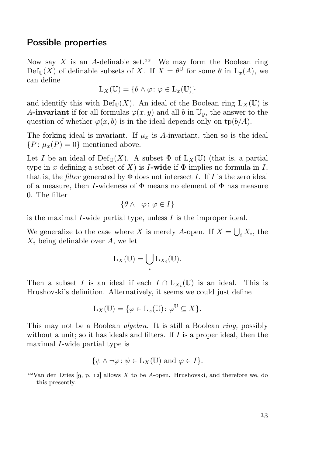#### Possible properties

Now say  $X$  is an A-definable set.<sup>12</sup> We may form the Boolean ring  $Def_{\mathbb{U}}(X)$  of definable subsets of X. If  $X = \theta^{\mathbb{U}}$  for some  $\theta$  in  $L_x(A)$ , we can define

$$
L_X(\mathbb{U}) = \{ \theta \wedge \varphi \colon \varphi \in L_x(\mathbb{U}) \}
$$

and identify this with  $Def_{\mathbb{U}}(X)$ . An ideal of the Boolean ring  $L_X(\mathbb{U})$  is A-invariant if for all formulas  $\varphi(x, y)$  and all b in  $\mathbb{U}_y$ , the answer to the question of whether  $\varphi(x, b)$  is in the ideal depends only on tp(b/A).

The forking ideal is invariant. If  $\mu_x$  is A-invariant, then so is the ideal  ${P : \mu_x(P) = 0}$  mentioned above.

Let I be an ideal of  $Def_{\mathbb{H}}(X)$ . A subset  $\Phi$  of  $L_X(\mathbb{U})$  (that is, a partial type in x defining a subset of X) is I-wide if  $\Phi$  implies no formula in I, that is, the *filter* generated by  $\Phi$  does not intersect I. If I is the zero ideal of a measure, then I-wideness of  $\Phi$  means no element of  $\Phi$  has measure 0. The filter

$$
\{\theta \wedge \neg \varphi \colon \varphi \in I\}
$$

is the maximal I-wide partial type, unless I is the improper ideal.

We generalize to the case where X is merely A-open. If  $X = \bigcup_i X_i$ , the  $X_i$  being definable over A, we let

$$
L_X(\mathbb{U}) = \bigcup_i L_{X_i}(\mathbb{U}).
$$

Then a subset I is an ideal if each  $I \cap L_{X_i}(\mathbb{U})$  is an ideal. This is Hrushovski's definition. Alternatively, it seems we could just define

$$
L_X(\mathbb{U}) = \{ \varphi \in L_x(\mathbb{U}) \colon \varphi^{\mathbb{U}} \subseteq X \}.
$$

This may not be a Boolean algebra. It is still a Boolean ring, possibly without a unit; so it has ideals and filters. If  $I$  is a proper ideal, then the maximal I-wide partial type is

$$
\{\psi \wedge \neg \varphi \colon \psi \in L_X(\mathbb{U}) \text{ and } \varphi \in I\}.
$$

<sup>&</sup>lt;sup>12</sup>Van den Dries [9, p. 12] allows X to be A-open. Hrushovski, and therefore we, do this presently.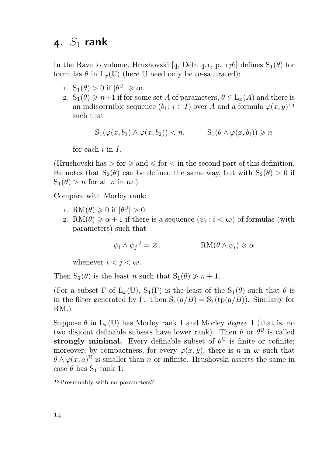# $4. S<sub>1</sub>$  rank

In the Ravello volume, Hrushovski [4, Defn 4.1, p. 176] defines  $S_1(\theta)$  for formulas  $\theta$  in  $L_x(\mathbb{U})$  (here  $\mathbb U$  need only be  $\omega$ -saturated):

- 1.  $S_1(\theta) > 0$  if  $|\theta^{\mathbb{U}}| \geq \omega$ .
- 2.  $S_1(\theta) \geq n+1$  if for some set A of parameters,  $\theta \in L_x(A)$  and there is an indiscernible sequence  $(b_i : i \in I)$  over A and a formula  $\varphi(x, y)^{13}$ such that

$$
S_1(\varphi(x, b_1) \land \varphi(x, b_2)) < n, \qquad S_1(\theta \land \varphi(x, b_i)) \geq n
$$

for each  $i$  in  $I$ .

(Hrushovski has  $\geq$  for  $\geq$  and  $\leq$  for  $\lt$  in the second part of this definition. He notes that  $S_2(\theta)$  can be defined the same way, but with  $S_2(\theta) > 0$  if  $S_1(\theta) > n$  for all n in  $\omega$ .)

Compare with Morley rank:

- 1. RM( $\theta$ )  $\geqslant$  0 if  $|\theta^{\mathbb{U}}|$   $>$  0.
- 2. RM( $\theta$ )  $\ge \alpha + 1$  if there is a sequence  $(\psi_i : i < \omega)$  of formulas (with parameters) such that

$$
\psi_i \wedge \psi_j^{\mathbb{U}} = \varnothing, \qquad \qquad \text{RM}(\theta \wedge \psi_i) \geq \alpha
$$

whenever  $i < j < \omega$ .

Then  $S_1(\theta)$  is the least n such that  $S_1(\theta) \ngtr n + 1$ .

(For a subset  $\Gamma$  of  $L_x(\mathbb{U})$ ,  $S_1(\Gamma)$  is the least of the  $S_1(\theta)$  such that  $\theta$  is in the filter generated by Γ. Then  $S_1(a/B) = S_1(tp(a/B))$ . Similarly for RM.)

Suppose  $\theta$  in  $L_r(\mathbb{U})$  has Morley rank 1 and Morley *degree* 1 (that is, no two disjoint definable subsets have lower rank). Then  $\theta$  or  $\dot{\theta}^{\mathbb{U}}$  is called strongly minimal. Every definable subset of  $\theta^{\mathbb{U}}$  is finite or cofinite; moreover, by compactness, for every  $\varphi(x, y)$ , there is n in  $\omega$  such that  $\theta \wedge \varphi(x,a)^{\mathbb{U}}$  is smaller than n or infinite. Hrushovski asserts the same in case  $\theta$  has  $S_1$  rank 1:

<sup>&</sup>lt;sup>13</sup>Presumably with no parameters?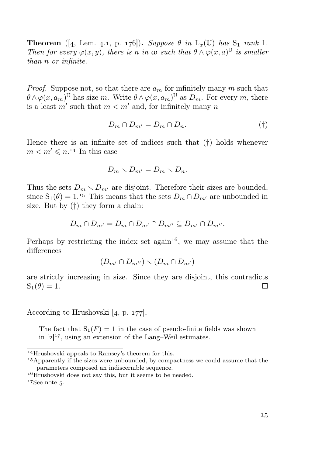**Theorem** ([4, Lem. 4.1, p. 176]). Suppose  $\theta$  in  $L_x(\mathbb{U})$  has  $S_1$  rank 1. Then for every  $\varphi(x, y)$ , there is n in  $\omega$  such that  $\theta \wedge \varphi(x, a)^{\mathbb{U}}$  is smaller than n or infinite.

*Proof.* Suppose not, so that there are  $a_m$  for infinitely many m such that  $\theta \wedge \varphi(x, a_m)$ <sup>U</sup> has size m. Write  $\theta \wedge \varphi(x, a_m)$ <sup>U</sup> as  $D_m$ . For every m, there is a least  $m'$  such that  $m < m'$  and, for infinitely many n

$$
D_m \cap D_{m'} = D_m \cap D_n. \tag{\dagger}
$$

Hence there is an infinite set of indices such that (†) holds whenever  $m < m' \leqslant n^{14}$  In this case

$$
D_m \setminus D_{m'} = D_m \setminus D_n.
$$

Thus the sets  $D_m \setminus D_{m'}$  are disjoint. Therefore their sizes are bounded, since  $S_1(\theta) = 1^{15}$  This means that the sets  $D_m \cap D_{m'}$  are unbounded in size. But by (†) they form a chain:

$$
D_m \cap D_{m'} = D_m \cap D_{m'} \cap D_{m''} \subseteq D_{m'} \cap D_{m''}.
$$

Perhaps by restricting the index set again<sup>16</sup>, we may assume that the differences

$$
(D_{m'} \cap D_{m''}) \smallsetminus (D_m \cap D_{m'})
$$

are strictly increasing in size. Since they are disjoint, this contradicts  $S_1(\theta) = 1.$  $\Box$ 

According to Hrushovski  $[4, p. 177]$ ,

The fact that  $S_1(F) = 1$  in the case of pseudo-finite fields was shown in  $[2]^{17}$ , using an extension of the Lang–Weil estimates.

 $17$ See note 5.

<sup>&</sup>lt;sup>14</sup>Hrushovski appeals to Ramsey's theorem for this.

<sup>&</sup>lt;sup>15</sup>Apparently if the sizes were unbounded, by compactness we could assume that the parameters composed an indiscernible sequence.

 $16$  Hrushovski does not say this, but it seems to be needed.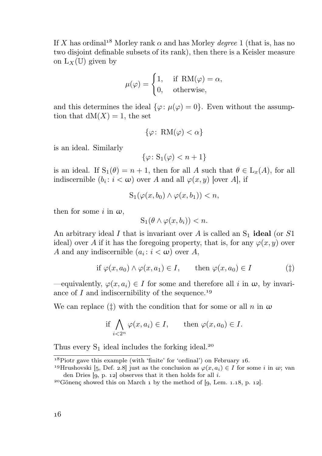If X has ordinal<sup>18</sup> Morley rank  $\alpha$  and has Morley *degree* 1 (that is, has no two disjoint definable subsets of its rank), then there is a Keisler measure on  $L_X(\mathbb{U})$  given by

$$
\mu(\varphi) = \begin{cases} 1, & \text{if } \text{RM}(\varphi) = \alpha, \\ 0, & \text{otherwise}, \end{cases}
$$

and this determines the ideal  $\{\varphi: \mu(\varphi) = 0\}$ . Even without the assumption that  $dM(X) = 1$ , the set

$$
\{\varphi\colon\operatorname{RM}(\varphi)<\alpha\}
$$

is an ideal. Similarly

$$
\{\varphi \colon \mathcal{S}_1(\varphi) < n+1\}
$$

is an ideal. If  $S_1(\theta) = n + 1$ , then for all A such that  $\theta \in L_x(A)$ , for all indiscernible  $(b_i : i < \omega)$  over A and all  $\varphi(x, y)$  [over A], if

$$
S_1(\varphi(x, b_0) \wedge \varphi(x, b_1)) < n,
$$

then for some i in  $\omega$ ,

$$
S_1(\theta \wedge \varphi(x, b_i)) < n.
$$

An arbitrary ideal I that is invariant over A is called an  $S_1$  ideal (or S1) ideal) over A if it has the foregoing property, that is, for any  $\varphi(x, y)$  over A and any indiscernible  $(a_i : i < \omega)$  over A,

if 
$$
\varphi(x, a_0) \land \varphi(x, a_1) \in I
$$
, then  $\varphi(x, a_0) \in I$  (†)

—equivalently,  $\varphi(x, a_i) \in I$  for some and therefore all i in  $\omega$ , by invariance of  $I$  and indiscernibility of the sequence.<sup>19</sup>

We can replace ( $\ddagger$ ) with the condition that for some or all n in  $\omega$ 

if 
$$
\bigwedge_{i < 2^n} \varphi(x, a_i) \in I
$$
, then  $\varphi(x, a_0) \in I$ .

Thus every  $S_1$  ideal includes the forking ideal.<sup>20</sup>

 $18$ Piotr gave this example (with 'finite' for 'ordinal') on February 16.

<sup>&</sup>lt;sup>19</sup>Hrushovski [5, Def. 2.8] just as the conclusion as  $\varphi(x, a_i) \in I$  for some i in  $\omega$ ; van den Dries  $[g, p. 12]$  observes that it then holds for all i.

<sup>&</sup>lt;sup>20</sup> Gönenç showed this on March  $1$  by the method of [9, Lem.  $1.18$ , p.  $12$ ].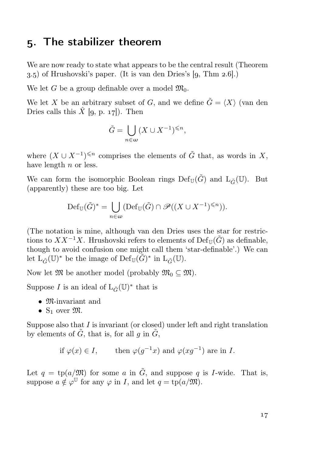## . The stabilizer theorem

We are now ready to state what appears to be the central result (Theorem  $(3.5)$  of Hrushovski's paper. (It is van den Dries's [q. Thm  $(2.6)$ .)

We let G be a group definable over a model  $\mathfrak{M}_0$ .

We let X be an arbitrary subset of G, and we define  $\tilde{G} = \langle X \rangle$  (van den Dries calls this  $\hat{X}$  [9, p. 17]). Then

$$
\tilde{G} = \bigcup_{n \in \omega} (X \cup X^{-1})^{\leq n},
$$

where  $(X \cup X^{-1})^{\leq n}$  comprises the elements of  $\tilde{G}$  that, as words in X, have length  $n$  or less.

We can form the isomorphic Boolean rings  $Def_{\mathbb{U}}(\tilde{G})$  and  $L_{\tilde{G}}(\mathbb{U})$ . But (apparently) these are too big. Let

$$
\mathrm{Def}_{\mathbb{U}}(\tilde{G})^* = \bigcup_{n \in \omega} (\mathrm{Def}_{\mathbb{U}}(\tilde{G}) \cap \mathscr{P}((X \cup X^{-1})^{\leq n})).
$$

(The notation is mine, although van den Dries uses the star for restrictions to  $XX^{-1}X$ . Hrushovski refers to elements of Def<sub>U</sub> $(\tilde{G})$  as definable, though to avoid confusion one might call them 'star-definable'.) We can let  $\tilde{\mathcal{L}_{\tilde{G}}}(\mathbb{U})^*$  be the image of  $\mathrm{Def}_{\mathbb{U}}(\tilde{G})^*$  in  $\mathcal{L}_{\tilde{G}}(\mathbb{U})$ .

Now let  $\mathfrak{M}$  be another model (probably  $\mathfrak{M}_0 \subseteq \mathfrak{M}$ ).

Suppose I is an ideal of  $L_{\tilde{G}}(\mathbb{U})^*$  that is

- M-invariant and
- $S_1$  over  $\mathfrak{M}$ .

Suppose also that  $I$  is invariant (or closed) under left and right translation by elements of  $\tilde{G}$ , that is, for all g in  $\tilde{G}$ ,

if 
$$
\varphi(x) \in I
$$
, then  $\varphi(g^{-1}x)$  and  $\varphi(xg^{-1})$  are in I.

Let  $q = \text{tp}(a/\mathfrak{M})$  for some a in  $\tilde{G}$ , and suppose q is I-wide. That is, suppose  $a \notin \varphi^{\mathbb{U}}$  for any  $\varphi$  in *I*, and let  $q = \text{tp}(a/\mathfrak{M})$ .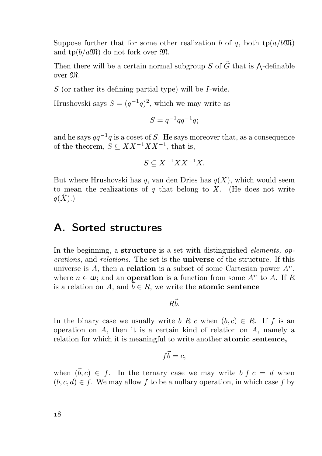Suppose further that for some other realization b of q, both  $tp(a/b\mathfrak{M})$ and  $\text{tp}(b/a\mathfrak{M})$  do not fork over  $\mathfrak{M}$ .

Then there will be a certain normal subgroup S of  $\tilde{G}$  that is  $\Lambda$ -definable over M.

S (or rather its defining partial type) will be I-wide.

Hrushovski says  $S = (q^{-1}q)^2$ , which we may write as

$$
S = q^{-1}qq^{-1}q;
$$

and he says  $qq^{-1}q$  is a coset of S. He says moreover that, as a consequence of the theorem,  $S \subseteq XX^{-1}XX^{-1}$ , that is,

$$
S \subseteq X^{-1}XX^{-1}X.
$$

But where Hrushovski has q, van den Dries has  $q(X)$ , which would seem to mean the realizations of q that belong to X. (He does not write  $q(\hat{X})$ .)

## A. Sorted structures

In the beginning, a structure is a set with distinguished *elements*, operations, and relations. The set is the universe of the structure. If this universe is A, then a **relation** is a subset of some Cartesian power  $A^n$ , where  $n \in \omega$ ; and an **operation** is a function from some  $A^n$  to A. If R is a relation on A, and  $b \in R$ , we write the **atomic sentence** 

 $R\vec{b}$ 

In the binary case we usually write b R c when  $(b, c) \in R$ . If f is an operation on A, then it is a certain kind of relation on A, namely a relation for which it is meaningful to write another atomic sentence,

$$
f\vec{b} = c,
$$

when  $(\vec{b}, c) \in f$ . In the ternary case we may write b  $f c = d$  when  $(b, c, d) \in f$ . We may allow f to be a nullary operation, in which case f by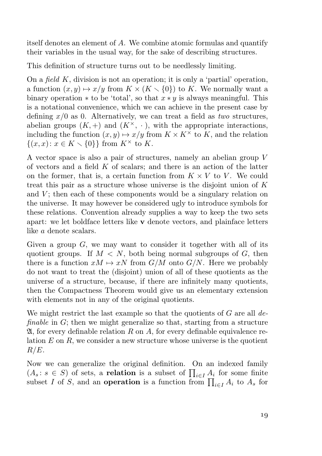itself denotes an element of A. We combine atomic formulas and quantify their variables in the usual way, for the sake of describing structures.

This definition of structure turns out to be needlessly limiting.

On a *field K*, division is not an operation; it is only a 'partial' operation, a function  $(x, y) \mapsto x/y$  from  $K \times (K \setminus \{0\})$  to K. We normally want a binary operation  $*$  to be 'total', so that  $x * y$  is always meaningful. This is a notational convenience, which we can achieve in the present case by defining  $x/0$  as 0. Alternatively, we can treat a field as two structures, abelian groups  $(K,+)$  and  $(K^{\times},\cdot)$ , with the appropriate interactions, including the function  $(x, y) \mapsto x/y$  from  $K \times K^{\times}$  to K, and the relation  $\{(x, x): x \in K \setminus \{0\}\}\$ from  $K^{\times}$  to K.

A vector space is also a pair of structures, namely an abelian group V of vectors and a field  $K$  of scalars; and there is an action of the latter on the former, that is, a certain function from  $K \times V$  to V. We could treat this pair as a structure whose universe is the disjoint union of  $K$ and  $V$ ; then each of these components would be a singulary relation on the universe. It may however be considered ugly to introduce symbols for these relations. Convention already supplies a way to keep the two sets apart: we let boldface letters like  $\bf{v}$  denote vectors, and plainface letters like a denote scalars.

Given a group  $G$ , we may want to consider it together with all of its quotient groups. If  $M < N$ , both being normal subgroups of G, then there is a function  $xM \mapsto xN$  from  $G/M$  onto  $G/N$ . Here we probably do not want to treat the (disjoint) union of all of these quotients as the universe of a structure, because, if there are infinitely many quotients, then the Compactness Theorem would give us an elementary extension with elements not in any of the original quotients.

We might restrict the last example so that the quotients of  $G$  are all  $de$ finable in  $G$ ; then we might generalize so that, starting from a structure  $\mathfrak{A}$ , for every definable relation R on A, for every definable equivalence relation  $E$  on  $R$ , we consider a new structure whose universe is the quotient  $R/E.$ 

Now we can generalize the original definition. On an indexed family  $(A_s: s \in S)$  of sets, a **relation** is a subset of  $\prod_{i \in I} A_i$  for some finite subset I of S, and an **operation** is a function from  $\prod_{i \in I} A_i$  to  $A_s$  for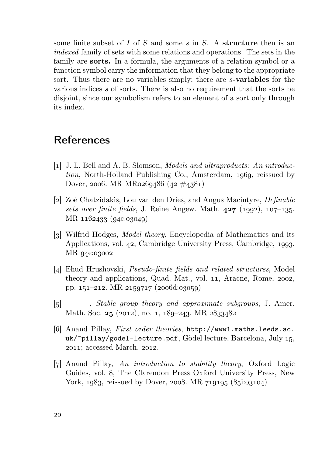some finite subset of  $I$  of  $S$  and some  $s$  in  $S$ . A structure then is an indexed family of sets with some relations and operations. The sets in the family are **sorts.** In a formula, the arguments of a relation symbol or a function symbol carry the information that they belong to the appropriate sort. Thus there are no variables simply; there are s-variables for the various indices s of sorts. There is also no requirement that the sorts be disjoint, since our symbolism refers to an element of a sort only through its index.

## References

- [1] J. L. Bell and A. B. Slomson, *Models and ultraproducts: An introduc*tion, North-Holland Publishing Co., Amsterdam, 1969, reissued by Dover, 2006. MR MR0269486 (42  $\#$ 4381)
- [2] Zoé Chatzidakis, Lou van den Dries, and Angus Macintyre, *Definable* sets over finite fields, J. Reine Angew. Math.  $427$  (1992),  $107-135$ .  $MR 1162433 (94c:03049)$
- [3] Wilfrid Hodges, *Model theory*, Encyclopedia of Mathematics and its Applications, vol. 42, Cambridge University Press, Cambridge, 1993. MR 94e:03002
- [4] Ehud Hrushovski, *Pseudo-finite fields and related structures*, Model theory and applications, Quad. Mat., vol. 11, Aracne, Rome, 2002, pp.  $151-212$ . MR  $2159717$  (2006d:03059)
- [5] \_\_\_\_\_, Stable group theory and approximate subgroups, J. Amer. Math. Soc. 25 (2012), no. 1,  $189-243$ . MR  $2833482$
- [6] Anand Pillay, First order theories, http://www1.maths.leeds.ac. uk/~pillay/godel-lecture.pdf, Gödel lecture, Barcelona, July 15.  $2011$ ; accessed March,  $2012$ .
- [7] Anand Pillay, An introduction to stability theory, Oxford Logic Guides, vol. 8, The Clarendon Press Oxford University Press, New York,  $1083$ , reissued by Dover, 2008. MR  $719195 (85i.03104)$